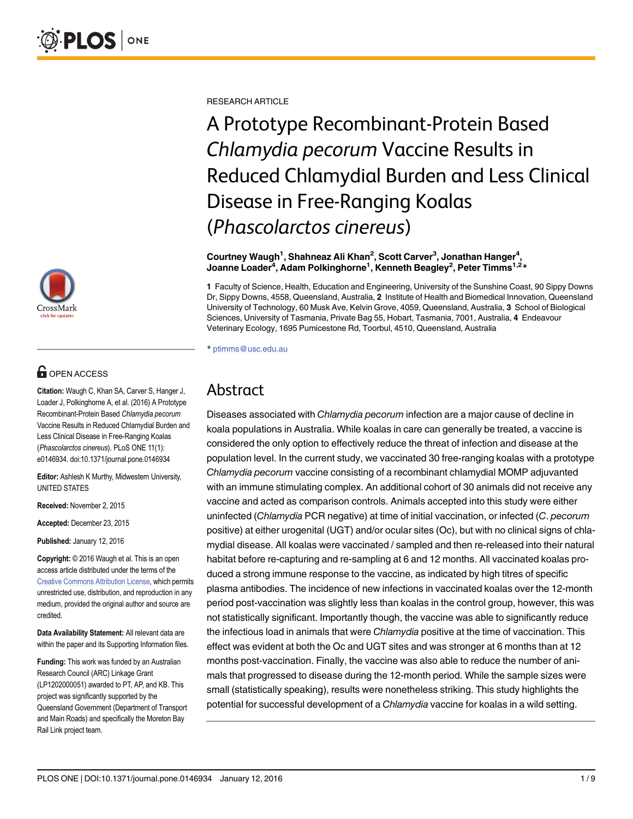

# **G** OPEN ACCESS

Citation: Waugh C, Khan SA, Carver S, Hanger J, Loader J, Polkinghorne A, et al. (2016) A Prototype Recombinant-Protein Based Chlamydia pecorum Vaccine Results in Reduced Chlamydial Burden and Less Clinical Disease in Free-Ranging Koalas (Phascolarctos cinereus). PLoS ONE 11(1): e0146934. doi:10.1371/journal.pone.0146934

Editor: Ashlesh K Murthy, Midwestern University, UNITED STATES

Received: November 2, 2015

Accepted: December 23, 2015

Published: January 12, 2016

Copyright: © 2016 Waugh et al. This is an open access article distributed under the terms of the [Creative Commons Attribution License,](http://creativecommons.org/licenses/by/4.0/) which permits unrestricted use, distribution, and reproduction in any medium, provided the original author and source are credited.

Data Availability Statement: All relevant data are within the paper and its Supporting Information files.

Funding: This work was funded by an Australian Research Council (ARC) Linkage Grant (LP1202000051) awarded to PT, AP, and KB. This project was significantly supported by the Queensland Government (Department of Transport and Main Roads) and specifically the Moreton Bay Rail Link project team.

RESEARCH ARTICLE

A Prototype Recombinant-Protein Based Chlamydia pecorum Vaccine Results in Reduced Chlamydial Burden and Less Clinical Disease in Free-Ranging Koalas (Phascolarctos cinereus)

#### Courtney Waugh<sup>1</sup>, Shahneaz Ali Khan<sup>2</sup>, Scott Carver<sup>3</sup>, Jonathan Hanger<sup>4</sup>, Joanne Loader<sup>4</sup>, Adam Polkinghorne<sup>1</sup>, Kenneth Beagley<sup>2</sup>, Peter Timms<sup>1,2</sup>\*

1 Faculty of Science, Health, Education and Engineering, University of the Sunshine Coast, 90 Sippy Downs Dr, Sippy Downs, 4558, Queensland, Australia, 2 Institute of Health and Biomedical Innovation, Queensland University of Technology, 60 Musk Ave, Kelvin Grove, 4059, Queensland, Australia, 3 School of Biological Sciences, University of Tasmania, Private Bag 55, Hobart, Tasmania, 7001, Australia, 4 Endeavour Veterinary Ecology, 1695 Pumicestone Rd, Toorbul, 4510, Queensland, Australia

\* ptimms@usc.edu.au

## Abstract

Diseases associated with Chlamydia pecorum infection are a major cause of decline in koala populations in Australia. While koalas in care can generally be treated, a vaccine is considered the only option to effectively reduce the threat of infection and disease at the population level. In the current study, we vaccinated 30 free-ranging koalas with a prototype Chlamydia pecorum vaccine consisting of a recombinant chlamydial MOMP adjuvanted with an immune stimulating complex. An additional cohort of 30 animals did not receive any vaccine and acted as comparison controls. Animals accepted into this study were either uninfected (Chlamydia PCR negative) at time of initial vaccination, or infected (C. pecorum positive) at either urogenital (UGT) and/or ocular sites (Oc), but with no clinical signs of chlamydial disease. All koalas were vaccinated / sampled and then re-released into their natural habitat before re-capturing and re-sampling at 6 and 12 months. All vaccinated koalas produced a strong immune response to the vaccine, as indicated by high titres of specific plasma antibodies. The incidence of new infections in vaccinated koalas over the 12-month period post-vaccination was slightly less than koalas in the control group, however, this was not statistically significant. Importantly though, the vaccine was able to significantly reduce the infectious load in animals that were Chlamydia positive at the time of vaccination. This effect was evident at both the Oc and UGT sites and was stronger at 6 months than at 12 months post-vaccination. Finally, the vaccine was also able to reduce the number of animals that progressed to disease during the 12-month period. While the sample sizes were small (statistically speaking), results were nonetheless striking. This study highlights the potential for successful development of a Chlamydia vaccine for koalas in a wild setting.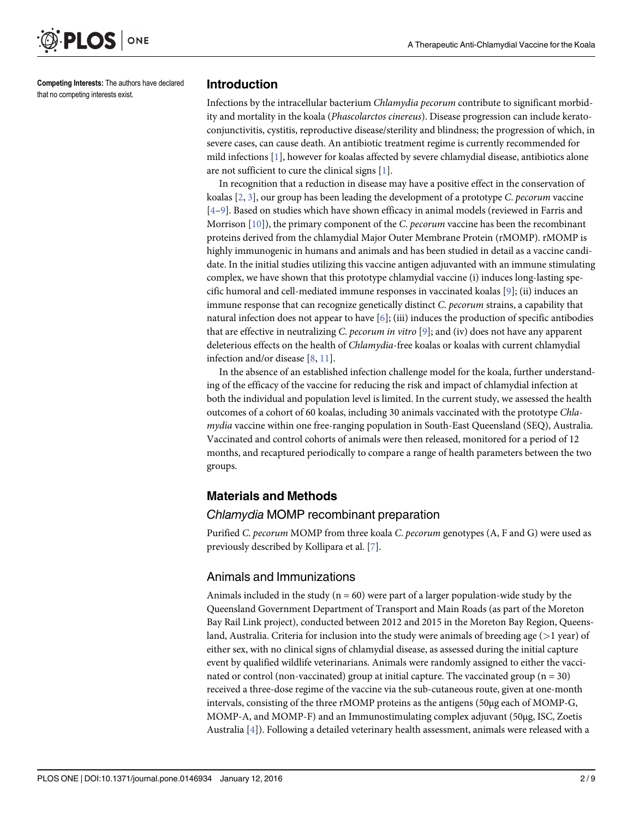<span id="page-1-0"></span>

Competing Interests: The authors have declared that no competing interests exist.

#### Introduction

Infections by the intracellular bacterium Chlamydia pecorum contribute to significant morbidity and mortality in the koala (*Phascolarctos cinereus*). Disease progression can include keratoconjunctivitis, cystitis, reproductive disease/sterility and blindness; the progression of which, in severe cases, can cause death. An antibiotic treatment regime is currently recommended for mild infections [\[1](#page-7-0)], however for koalas affected by severe chlamydial disease, antibiotics alone are not sufficient to cure the clinical signs  $[1]$  $[1]$ .

In recognition that a reduction in disease may have a positive effect in the conservation of koalas  $[2, 3]$  $[2, 3]$  $[2, 3]$  $[2, 3]$ , our group has been leading the development of a prototype C. *pecorum* vaccine  $[4-9]$  $[4-9]$  $[4-9]$  $[4-9]$ . Based on studies which have shown efficacy in animal models (reviewed in Farris and Morrison  $[10]$  $[10]$ ), the primary component of the *C. pecorum* vaccine has been the recombinant proteins derived from the chlamydial Major Outer Membrane Protein (rMOMP). rMOMP is highly immunogenic in humans and animals and has been studied in detail as a vaccine candidate. In the initial studies utilizing this vaccine antigen adjuvanted with an immune stimulating complex, we have shown that this prototype chlamydial vaccine (i) induces long-lasting specific humoral and cell-mediated immune responses in vaccinated koalas [[9\]](#page-8-0); (ii) induces an immune response that can recognize genetically distinct C. pecorum strains, a capability that natural infection does not appear to have  $[6]$  $[6]$ ; (iii) induces the production of specific antibodies that are effective in neutralizing C. *pecorum in vitro* [[9](#page-8-0)]; and (iv) does not have any apparent deleterious effects on the health of Chlamydia-free koalas or koalas with current chlamydial infection and/or disease  $[8, 11]$  $[8, 11]$  $[8, 11]$ .

In the absence of an established infection challenge model for the koala, further understanding of the efficacy of the vaccine for reducing the risk and impact of chlamydial infection at both the individual and population level is limited. In the current study, we assessed the health outcomes of a cohort of 60 koalas, including 30 animals vaccinated with the prototype Chlamydia vaccine within one free-ranging population in South-East Queensland (SEQ), Australia. Vaccinated and control cohorts of animals were then released, monitored for a period of 12 months, and recaptured periodically to compare a range of health parameters between the two groups.

## Materials and Methods

## Chlamydia MOMP recombinant preparation

Purified C. pecorum MOMP from three koala C. pecorum genotypes (A, F and G) were used as previously described by Kollipara et al. [\[7](#page-7-0)].

## Animals and Immunizations

Animals included in the study ( $n = 60$ ) were part of a larger population-wide study by the Queensland Government Department of Transport and Main Roads (as part of the Moreton Bay Rail Link project), conducted between 2012 and 2015 in the Moreton Bay Region, Queensland, Australia. Criteria for inclusion into the study were animals of breeding age  $(>1 \text{ year})$  of either sex, with no clinical signs of chlamydial disease, as assessed during the initial capture event by qualified wildlife veterinarians. Animals were randomly assigned to either the vaccinated or control (non-vaccinated) group at initial capture. The vaccinated group ( $n = 30$ ) received a three-dose regime of the vaccine via the sub-cutaneous route, given at one-month intervals, consisting of the three rMOMP proteins as the antigens (50μg each of MOMP-G, MOMP-A, and MOMP-F) and an Immunostimulating complex adjuvant (50μg, ISC, Zoetis Australia [[4\]](#page-7-0)). Following a detailed veterinary health assessment, animals were released with a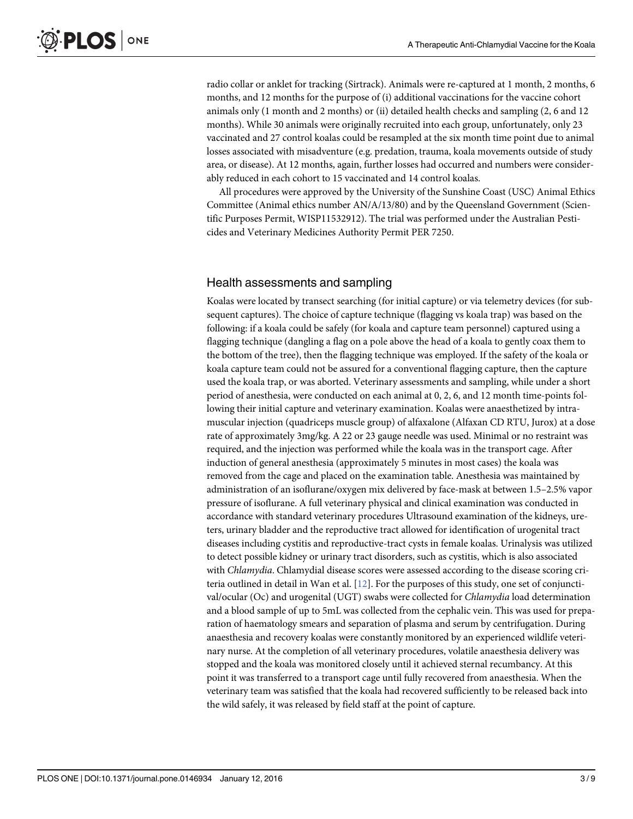<span id="page-2-0"></span>radio collar or anklet for tracking (Sirtrack). Animals were re-captured at 1 month, 2 months, 6 months, and 12 months for the purpose of (i) additional vaccinations for the vaccine cohort animals only (1 month and 2 months) or (ii) detailed health checks and sampling (2, 6 and 12 months). While 30 animals were originally recruited into each group, unfortunately, only 23 vaccinated and 27 control koalas could be resampled at the six month time point due to animal losses associated with misadventure (e.g. predation, trauma, koala movements outside of study area, or disease). At 12 months, again, further losses had occurred and numbers were considerably reduced in each cohort to 15 vaccinated and 14 control koalas.

All procedures were approved by the University of the Sunshine Coast (USC) Animal Ethics Committee (Animal ethics number AN/A/13/80) and by the Queensland Government (Scientific Purposes Permit, WISP11532912). The trial was performed under the Australian Pesticides and Veterinary Medicines Authority Permit PER 7250.

## Health assessments and sampling

Koalas were located by transect searching (for initial capture) or via telemetry devices (for subsequent captures). The choice of capture technique (flagging vs koala trap) was based on the following: if a koala could be safely (for koala and capture team personnel) captured using a flagging technique (dangling a flag on a pole above the head of a koala to gently coax them to the bottom of the tree), then the flagging technique was employed. If the safety of the koala or koala capture team could not be assured for a conventional flagging capture, then the capture used the koala trap, or was aborted. Veterinary assessments and sampling, while under a short period of anesthesia, were conducted on each animal at 0, 2, 6, and 12 month time-points following their initial capture and veterinary examination. Koalas were anaesthetized by intramuscular injection (quadriceps muscle group) of alfaxalone (Alfaxan CD RTU, Jurox) at a dose rate of approximately 3mg/kg. A 22 or 23 gauge needle was used. Minimal or no restraint was required, and the injection was performed while the koala was in the transport cage. After induction of general anesthesia (approximately 5 minutes in most cases) the koala was removed from the cage and placed on the examination table. Anesthesia was maintained by administration of an isoflurane/oxygen mix delivered by face-mask at between 1.5–2.5% vapor pressure of isoflurane. A full veterinary physical and clinical examination was conducted in accordance with standard veterinary procedures Ultrasound examination of the kidneys, ureters, urinary bladder and the reproductive tract allowed for identification of urogenital tract diseases including cystitis and reproductive-tract cysts in female koalas. Urinalysis was utilized to detect possible kidney or urinary tract disorders, such as cystitis, which is also associated with *Chlamydia*. Chlamydial disease scores were assessed according to the disease scoring criteria outlined in detail in Wan et al. [[12](#page-8-0)]. For the purposes of this study, one set of conjunctival/ocular (Oc) and urogenital (UGT) swabs were collected for Chlamydia load determination and a blood sample of up to 5mL was collected from the cephalic vein. This was used for preparation of haematology smears and separation of plasma and serum by centrifugation. During anaesthesia and recovery koalas were constantly monitored by an experienced wildlife veterinary nurse. At the completion of all veterinary procedures, volatile anaesthesia delivery was stopped and the koala was monitored closely until it achieved sternal recumbancy. At this point it was transferred to a transport cage until fully recovered from anaesthesia. When the veterinary team was satisfied that the koala had recovered sufficiently to be released back into the wild safely, it was released by field staff at the point of capture.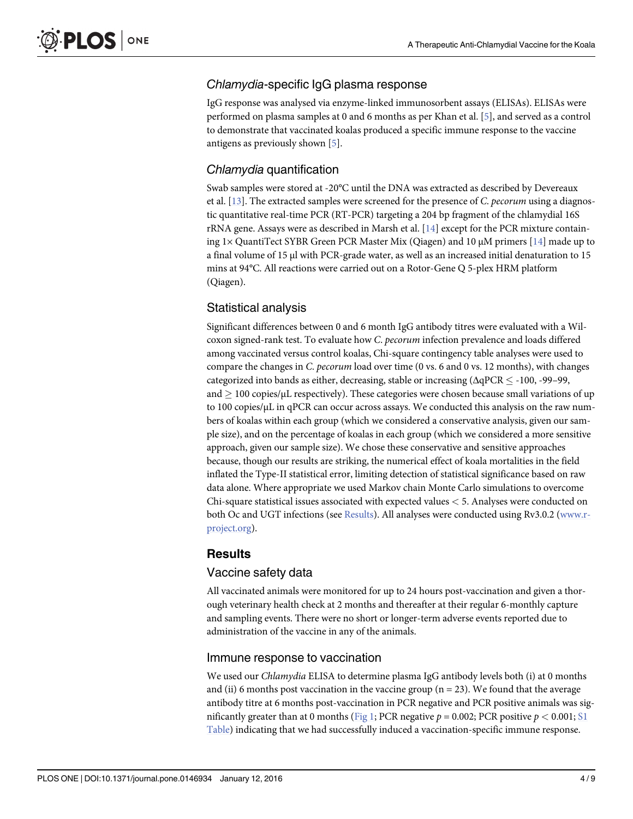## <span id="page-3-0"></span>Chlamydia-specific IgG plasma response

IgG response was analysed via enzyme-linked immunosorbent assays (ELISAs). ELISAs were performed on plasma samples at 0 and 6 months as per Khan et al. [\[5](#page-7-0)], and served as a control to demonstrate that vaccinated koalas produced a specific immune response to the vaccine antigens as previously shown [[5\]](#page-7-0).

## Chlamydia quantification

Swab samples were stored at -20°C until the DNA was extracted as described by Devereaux et al. [\[13\]](#page-8-0). The extracted samples were screened for the presence of C. pecorum using a diagnostic quantitative real-time PCR (RT-PCR) targeting a 204 bp fragment of the chlamydial 16S rRNA gene. Assays were as described in Marsh et al. [[14](#page-8-0)] except for the PCR mixture containing 1× QuantiTect SYBR Green PCR Master Mix (Qiagen) and 10  $\mu$ M primers [[14](#page-8-0)] made up to a final volume of 15 μl with PCR-grade water, as well as an increased initial denaturation to 15 mins at 94°C. All reactions were carried out on a Rotor-Gene Q 5-plex HRM platform (Qiagen).

## Statistical analysis

Significant differences between 0 and 6 month IgG antibody titres were evaluated with a Wilcoxon signed-rank test. To evaluate how C. pecorum infection prevalence and loads differed among vaccinated versus control koalas, Chi-square contingency table analyses were used to compare the changes in C. pecorum load over time (0 vs. 6 and 0 vs. 12 months), with changes categorized into bands as either, decreasing, stable or increasing ( $\Delta qPCR \leq -100$ , -99-99, and  $> 100$  copies/ $\mu$ L respectively). These categories were chosen because small variations of up to 100 copies/μL in qPCR can occur across assays. We conducted this analysis on the raw numbers of koalas within each group (which we considered a conservative analysis, given our sample size), and on the percentage of koalas in each group (which we considered a more sensitive approach, given our sample size). We chose these conservative and sensitive approaches because, though our results are striking, the numerical effect of koala mortalities in the field inflated the Type-II statistical error, limiting detection of statistical significance based on raw data alone. Where appropriate we used Markov chain Monte Carlo simulations to overcome Chi-square statistical issues associated with expected values < 5. Analyses were conducted on both Oc and UGT infections (see Results). All analyses were conducted using Rv3.0.2 ([www.r](http://www.r-project.org)[project.org](http://www.r-project.org)).

## **Results**

#### Vaccine safety data

All vaccinated animals were monitored for up to 24 hours post-vaccination and given a thorough veterinary health check at 2 months and thereafter at their regular 6-monthly capture and sampling events. There were no short or longer-term adverse events reported due to administration of the vaccine in any of the animals.

#### Immune response to vaccination

We used our Chlamydia ELISA to determine plasma IgG antibody levels both (i) at 0 months and (ii) 6 months post vaccination in the vaccine group ( $n = 23$ ). We found that the average antibody titre at 6 months post-vaccination in PCR negative and PCR positive animals was sig-nificantly greater than at 0 months ([Fig 1](#page-4-0); PCR negative  $p = 0.002$ ; PCR positive  $p < 0.001$ ; [S1](#page-7-0) [Table](#page-7-0)) indicating that we had successfully induced a vaccination-specific immune response.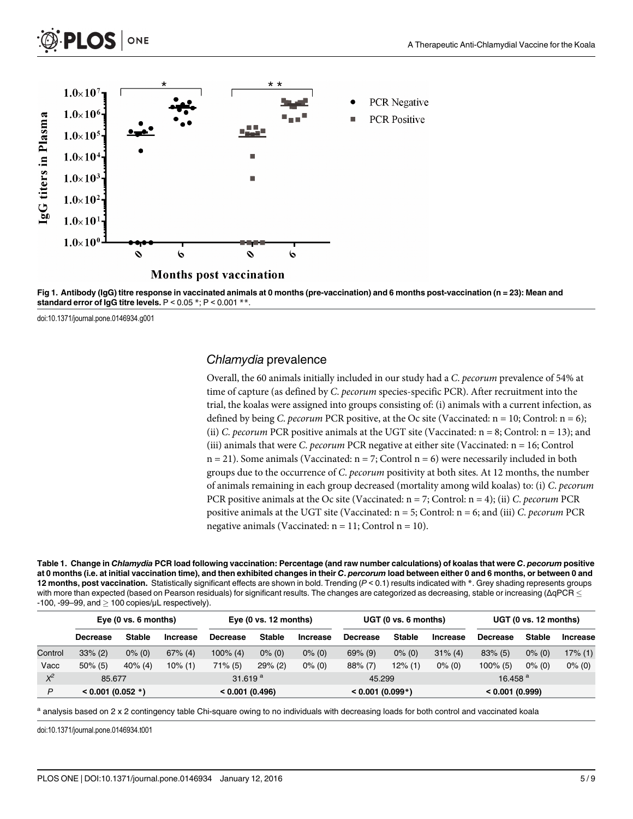<span id="page-4-0"></span>





doi:10.1371/journal.pone.0146934.g001

#### Chlamydia prevalence

Overall, the 60 animals initially included in our study had a C. pecorum prevalence of 54% at time of capture (as defined by C. pecorum species-specific PCR). After recruitment into the trial, the koalas were assigned into groups consisting of: (i) animals with a current infection, as defined by being C. pecorum PCR positive, at the Oc site (Vaccinated:  $n = 10$ ; Control:  $n = 6$ ); (ii) C. pecorum PCR positive animals at the UGT site (Vaccinated:  $n = 8$ ; Control:  $n = 13$ ); and (iii) animals that were C. pecorum PCR negative at either site (Vaccinated: n = 16; Control  $n = 21$ ). Some animals (Vaccinated:  $n = 7$ ; Control  $n = 6$ ) were necessarily included in both groups due to the occurrence of C. pecorum positivity at both sites. At 12 months, the number of animals remaining in each group decreased (mortality among wild koalas) to: (i) C. pecorum PCR positive animals at the Oc site (Vaccinated:  $n = 7$ ; Control:  $n = 4$ ); (ii) C. pecorum PCR positive animals at the UGT site (Vaccinated:  $n = 5$ ; Control:  $n = 6$ ; and (iii) C. pecorum PCR negative animals (Vaccinated:  $n = 11$ ; Control  $n = 10$ ).

[Table 1.](#page-5-0) Change in Chlamydia PCR load following vaccination: Percentage (and raw number calculations) of koalas that were C. pecorum positive at 0 months (i.e. at initial vaccination time), and then exhibited changes in their C. percorum load between either 0 and 6 months, or between 0 and 12 months, post vaccination. Statistically significant effects are shown in bold. Trending  $(P < 0.1)$  results indicated with  $*$ . Grey shading represents groups with more than expected (based on Pearson residuals) for significant results. The changes are categorized as decreasing, stable or increasing ( $\Delta qPCR \leq$ -100, -99--99, and  $\geq$  100 copies/ $\mu$ L respectively).

|         | Eye $(0 \text{ vs. } 6 \text{ months})$ |               |            | Eye $(0 \text{ vs. } 12 \text{ months})$ |               |           | UGT (0 vs. 6 months) |               |            | UGT (0 vs. 12 months) |               |                 |
|---------|-----------------------------------------|---------------|------------|------------------------------------------|---------------|-----------|----------------------|---------------|------------|-----------------------|---------------|-----------------|
|         | <b>Decrease</b>                         | <b>Stable</b> | Increase   | Decrease                                 | <b>Stable</b> | Increase  | <b>Decrease</b>      | <b>Stable</b> | Increase   | <b>Decrease</b>       | <b>Stable</b> | <b>Increase</b> |
| Control | $33\%$ (2)                              | $0\%$ (0)     | $67\%$ (4) | $100\%$ (4)                              | $0\%$ (0)     | $0\%$ (0) | $69\%$ (9)           | $0\%$ (0)     | $31\%$ (4) | $83\%$ (5)            | $0\%$ (0)     | $17\%$ (1)      |
| Vacc    | $50\%$ (5)                              | $40\%$ (4)    | $10\%$ (1) | $71\%$ (5)                               | $29%$ (2)     | $0\%$ (0) | $88\%$ (7)           | $12\%$ (1)    | $0\%$ (0)  | $100\%$ (5)           | $0\%$ (0)     | $0\%$ (0)       |
| $X^2$   | 85.677                                  |               |            | 31.619 $a$                               |               |           | 45.299               |               |            | 16.458 $a$            |               |                 |
| P       | $< 0.001 (0.052*)$                      |               |            | < 0.001(0.496)                           |               |           | $< 0.001 (0.099*)$   |               |            | < 0.001(0.999)        |               |                 |

<sup>a</sup> analysis based on 2 x 2 contingency table Chi-square owing to no individuals with decreasing loads for both control and vaccinated koala

doi:10.1371/journal.pone.0146934.t001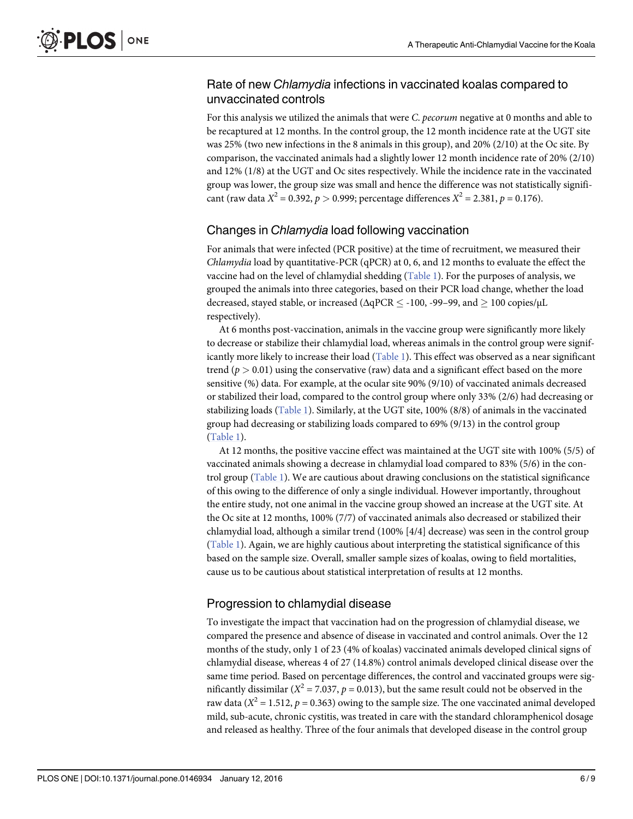## <span id="page-5-0"></span>Rate of new Chlamydia infections in vaccinated koalas compared to unvaccinated controls

For this analysis we utilized the animals that were C. pecorum negative at 0 months and able to be recaptured at 12 months. In the control group, the 12 month incidence rate at the UGT site was 25% (two new infections in the 8 animals in this group), and 20% (2/10) at the Oc site. By comparison, the vaccinated animals had a slightly lower 12 month incidence rate of 20% (2/10) and 12% (1/8) at the UGT and Oc sites respectively. While the incidence rate in the vaccinated group was lower, the group size was small and hence the difference was not statistically significant (raw data  $X^2 = 0.392$ ,  $p > 0.999$ ; percentage differences  $X^2 = 2.381$ ,  $p = 0.176$ ).

## Changes in Chlamydia load following vaccination

For animals that were infected (PCR positive) at the time of recruitment, we measured their Chlamydia load by quantitative-PCR (qPCR) at 0, 6, and 12 months to evaluate the effect the vaccine had on the level of chlamydial shedding [\(Table 1](#page-4-0)). For the purposes of analysis, we grouped the animals into three categories, based on their PCR load change, whether the load decreased, stayed stable, or increased ( $\Delta qPCR \le -100$ , -99–99, and  $\ge 100$  copies/ $\mu$ L respectively).

At 6 months post-vaccination, animals in the vaccine group were significantly more likely to decrease or stabilize their chlamydial load, whereas animals in the control group were signif-icantly more likely to increase their load [\(Table 1\)](#page-4-0). This effect was observed as a near significant trend ( $p > 0.01$ ) using the conservative (raw) data and a significant effect based on the more sensitive (%) data. For example, at the ocular site 90% (9/10) of vaccinated animals decreased or stabilized their load, compared to the control group where only 33% (2/6) had decreasing or stabilizing loads [\(Table 1](#page-4-0)). Similarly, at the UGT site,  $100\%$  (8/8) of animals in the vaccinated group had decreasing or stabilizing loads compared to 69% (9/13) in the control group [\(Table 1\)](#page-4-0).

At 12 months, the positive vaccine effect was maintained at the UGT site with 100% (5/5) of vaccinated animals showing a decrease in chlamydial load compared to 83% (5/6) in the control group ([Table 1\)](#page-4-0). We are cautious about drawing conclusions on the statistical significance of this owing to the difference of only a single individual. However importantly, throughout the entire study, not one animal in the vaccine group showed an increase at the UGT site. At the Oc site at 12 months, 100% (7/7) of vaccinated animals also decreased or stabilized their chlamydial load, although a similar trend (100% [4/4] decrease) was seen in the control group [\(Table 1\)](#page-4-0). Again, we are highly cautious about interpreting the statistical significance of this based on the sample size. Overall, smaller sample sizes of koalas, owing to field mortalities, cause us to be cautious about statistical interpretation of results at 12 months.

## Progression to chlamydial disease

To investigate the impact that vaccination had on the progression of chlamydial disease, we compared the presence and absence of disease in vaccinated and control animals. Over the 12 months of the study, only 1 of 23 (4% of koalas) vaccinated animals developed clinical signs of chlamydial disease, whereas 4 of 27 (14.8%) control animals developed clinical disease over the same time period. Based on percentage differences, the control and vaccinated groups were significantly dissimilar ( $X^2 = 7.037$ ,  $p = 0.013$ ), but the same result could not be observed in the raw data ( $X^2 = 1.512$ ,  $p = 0.363$ ) owing to the sample size. The one vaccinated animal developed mild, sub-acute, chronic cystitis, was treated in care with the standard chloramphenicol dosage and released as healthy. Three of the four animals that developed disease in the control group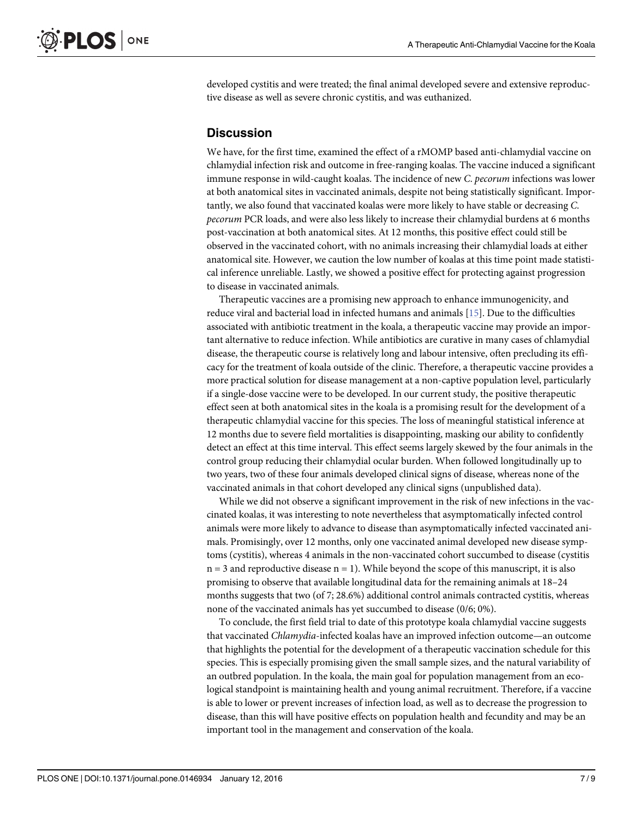<span id="page-6-0"></span>developed cystitis and were treated; the final animal developed severe and extensive reproductive disease as well as severe chronic cystitis, and was euthanized.

## **Discussion**

We have, for the first time, examined the effect of a rMOMP based anti-chlamydial vaccine on chlamydial infection risk and outcome in free-ranging koalas. The vaccine induced a significant immune response in wild-caught koalas. The incidence of new C. *pecorum* infections was lower at both anatomical sites in vaccinated animals, despite not being statistically significant. Importantly, we also found that vaccinated koalas were more likely to have stable or decreasing C. pecorum PCR loads, and were also less likely to increase their chlamydial burdens at 6 months post-vaccination at both anatomical sites. At 12 months, this positive effect could still be observed in the vaccinated cohort, with no animals increasing their chlamydial loads at either anatomical site. However, we caution the low number of koalas at this time point made statistical inference unreliable. Lastly, we showed a positive effect for protecting against progression to disease in vaccinated animals.

Therapeutic vaccines are a promising new approach to enhance immunogenicity, and reduce viral and bacterial load in infected humans and animals [[15](#page-8-0)]. Due to the difficulties associated with antibiotic treatment in the koala, a therapeutic vaccine may provide an important alternative to reduce infection. While antibiotics are curative in many cases of chlamydial disease, the therapeutic course is relatively long and labour intensive, often precluding its efficacy for the treatment of koala outside of the clinic. Therefore, a therapeutic vaccine provides a more practical solution for disease management at a non-captive population level, particularly if a single-dose vaccine were to be developed. In our current study, the positive therapeutic effect seen at both anatomical sites in the koala is a promising result for the development of a therapeutic chlamydial vaccine for this species. The loss of meaningful statistical inference at 12 months due to severe field mortalities is disappointing, masking our ability to confidently detect an effect at this time interval. This effect seems largely skewed by the four animals in the control group reducing their chlamydial ocular burden. When followed longitudinally up to two years, two of these four animals developed clinical signs of disease, whereas none of the vaccinated animals in that cohort developed any clinical signs (unpublished data).

While we did not observe a significant improvement in the risk of new infections in the vaccinated koalas, it was interesting to note nevertheless that asymptomatically infected control animals were more likely to advance to disease than asymptomatically infected vaccinated animals. Promisingly, over 12 months, only one vaccinated animal developed new disease symptoms (cystitis), whereas 4 animals in the non-vaccinated cohort succumbed to disease (cystitis  $n = 3$  and reproductive disease  $n = 1$ ). While beyond the scope of this manuscript, it is also promising to observe that available longitudinal data for the remaining animals at 18–24 months suggests that two (of 7; 28.6%) additional control animals contracted cystitis, whereas none of the vaccinated animals has yet succumbed to disease (0/6; 0%).

To conclude, the first field trial to date of this prototype koala chlamydial vaccine suggests that vaccinated Chlamydia-infected koalas have an improved infection outcome—an outcome that highlights the potential for the development of a therapeutic vaccination schedule for this species. This is especially promising given the small sample sizes, and the natural variability of an outbred population. In the koala, the main goal for population management from an ecological standpoint is maintaining health and young animal recruitment. Therefore, if a vaccine is able to lower or prevent increases of infection load, as well as to decrease the progression to disease, than this will have positive effects on population health and fecundity and may be an important tool in the management and conservation of the koala.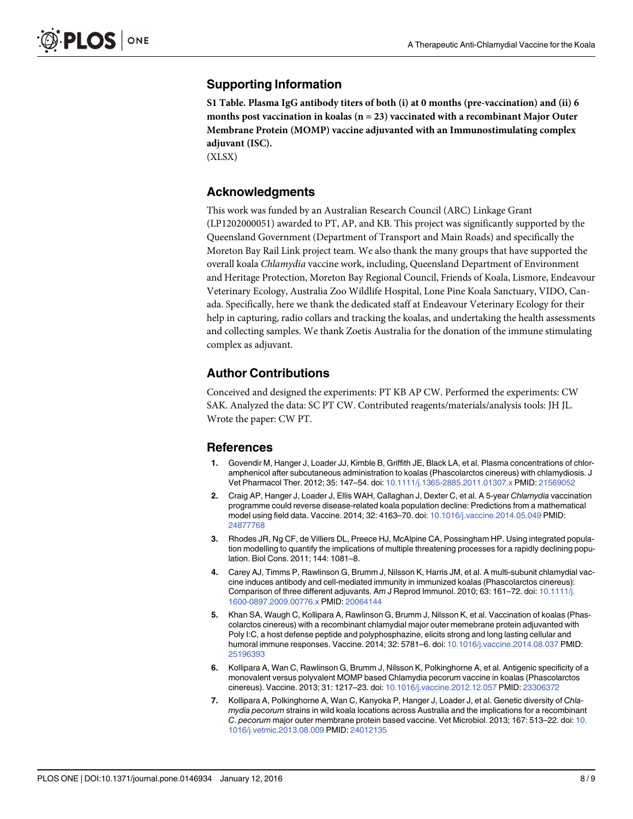## <span id="page-7-0"></span>Supporting Information

[S1 Table](http://www.plosone.org/article/fetchSingleRepresentation.action?uri=info:doi/10.1371/journal.pone.0146934.s001). Plasma IgG antibody titers of both (i) at 0 months (pre-vaccination) and (ii) 6 months post vaccination in koalas ( $n = 23$ ) vaccinated with a recombinant Major Outer Membrane Protein (MOMP) vaccine adjuvanted with an Immunostimulating complex adjuvant (ISC).

(XLSX)

## Acknowledgments

This work was funded by an Australian Research Council (ARC) Linkage Grant (LP1202000051) awarded to PT, AP, and KB. This project was significantly supported by the Queensland Government (Department of Transport and Main Roads) and specifically the Moreton Bay Rail Link project team. We also thank the many groups that have supported the overall koala Chlamydia vaccine work, including, Queensland Department of Environment and Heritage Protection, Moreton Bay Regional Council, Friends of Koala, Lismore, Endeavour Veterinary Ecology, Australia Zoo Wildlife Hospital, Lone Pine Koala Sanctuary, VIDO, Canada. Specifically, here we thank the dedicated staff at Endeavour Veterinary Ecology for their help in capturing, radio collars and tracking the koalas, and undertaking the health assessments and collecting samples. We thank Zoetis Australia for the donation of the immune stimulating complex as adjuvant.

## Author Contributions

Conceived and designed the experiments: PT KB AP CW. Performed the experiments: CW SAK. Analyzed the data: SC PT CW. Contributed reagents/materials/analysis tools: JH JL. Wrote the paper: CW PT.

## References

- [1.](#page-1-0) Govendir M, Hanger J, Loader JJ, Kimble B, Griffith JE, Black LA, et al. Plasma concentrations of chloramphenicol after subcutaneous administration to koalas (Phascolarctos cinereus) with chlamydiosis. J Vet Pharmacol Ther. 2012; 35: 147–54. doi: [10.1111/j.1365-2885.2011.01307.x](http://dx.doi.org/10.1111/j.1365-2885.2011.01307.x) PMID: [21569052](http://www.ncbi.nlm.nih.gov/pubmed/21569052)
- [2.](#page-1-0) Craig AP, Hanger J, Loader J, Ellis WAH, Callaghan J, Dexter C, et al. A 5-year Chlamydia vaccination programme could reverse disease-related koala population decline: Predictions from a mathematical model using field data. Vaccine. 2014; 32: 4163–70. doi: [10.1016/j.vaccine.2014.05.049](http://dx.doi.org/10.1016/j.vaccine.2014.05.049) PMID: [24877768](http://www.ncbi.nlm.nih.gov/pubmed/24877768)
- [3.](#page-1-0) Rhodes JR, Ng CF, de Villiers DL, Preece HJ, McAlpine CA, Possingham HP. Using integrated population modelling to quantify the implications of multiple threatening processes for a rapidly declining population. Biol Cons. 2011; 144: 1081–8.
- [4.](#page-1-0) Carey AJ, Timms P, Rawlinson G, Brumm J, Nilsson K, Harris JM, et al. A multi-subunit chlamydial vaccine induces antibody and cell-mediated immunity in immunized koalas (Phascolarctos cinereus): Comparison of three different adjuvants. Am J Reprod Immunol. 2010; 63: 161-72. doi: [10.1111/j.](http://dx.doi.org/10.1111/j.1600-0897.2009.00776.x) [1600-0897.2009.00776.x](http://dx.doi.org/10.1111/j.1600-0897.2009.00776.x) PMID: [20064144](http://www.ncbi.nlm.nih.gov/pubmed/20064144)
- [5.](#page-3-0) Khan SA, Waugh C, Kollipara A, Rawlinson G, Brumm J, Nilsson K, et al. Vaccination of koalas (Phascolarctos cinereus) with a recombinant chlamydial major outer memebrane protein adjuvanted with Poly I:C, a host defense peptide and polyphosphazine, elicits strong and long lasting cellular and humoral immune responses. Vaccine. 2014; 32: 5781–6. doi: [10.1016/j.vaccine.2014.08.037](http://dx.doi.org/10.1016/j.vaccine.2014.08.037) PMID: [25196393](http://www.ncbi.nlm.nih.gov/pubmed/25196393)
- [6.](#page-1-0) Kollipara A, Wan C, Rawlinson G, Brumm J, Nilsson K, Polkinghorne A, et al. Antigenic specificity of a monovalent versus polyvalent MOMP based Chlamydia pecorum vaccine in koalas (Phascolarctos cinereus). Vaccine. 2013; 31: 1217–23. doi: [10.1016/j.vaccine.2012.12.057](http://dx.doi.org/10.1016/j.vaccine.2012.12.057) PMID: [23306372](http://www.ncbi.nlm.nih.gov/pubmed/23306372)
- [7.](#page-1-0) Kollipara A, Polkinghorne A, Wan C, Kanyoka P, Hanger J, Loader J, et al. Genetic diversity of Chlamydia pecorum strains in wild koala locations across Australia and the implications for a recombinant C. pecorum major outer membrane protein based vaccine. Vet Microbiol. 2013; 167: 513–22. doi: [10.](http://dx.doi.org/10.1016/j.vetmic.2013.08.009) [1016/j.vetmic.2013.08.009](http://dx.doi.org/10.1016/j.vetmic.2013.08.009) PMID: [24012135](http://www.ncbi.nlm.nih.gov/pubmed/24012135)